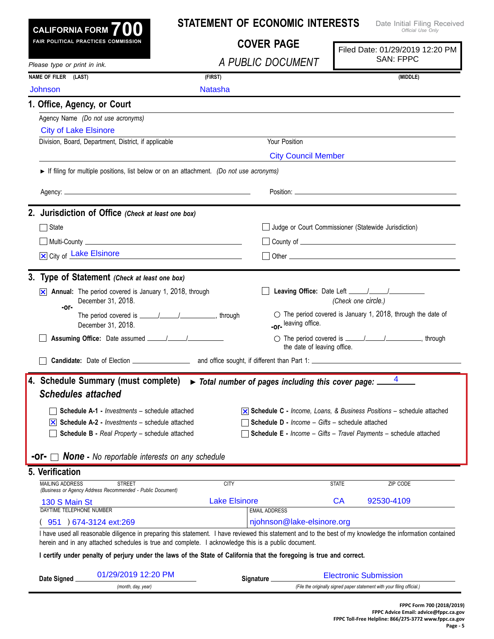| CALIFORNIA FORM $700$                                                                                                                                                                                                                                             | <b>STATEMENT OF ECONOMIC INTERESTS</b>  |                                                                                     | Date Initial Filing Received<br>Official Use Only                                            |  |
|-------------------------------------------------------------------------------------------------------------------------------------------------------------------------------------------------------------------------------------------------------------------|-----------------------------------------|-------------------------------------------------------------------------------------|----------------------------------------------------------------------------------------------|--|
| FAIR POLITICAL PRACTICES COMMISSION                                                                                                                                                                                                                               | <b>COVER PAGE</b>                       |                                                                                     | Filed Date: 01/29/2019 12:20 PM                                                              |  |
| Please type or print in ink.                                                                                                                                                                                                                                      | A PUBLIC DOCUMENT                       |                                                                                     | <b>SAN: FPPC</b>                                                                             |  |
| NAME OF FILER (LAST)                                                                                                                                                                                                                                              | (FIRST)                                 |                                                                                     | (MIDDLE)                                                                                     |  |
| <b>Johnson</b>                                                                                                                                                                                                                                                    | <b>Natasha</b>                          |                                                                                     |                                                                                              |  |
| 1. Office, Agency, or Court                                                                                                                                                                                                                                       |                                         |                                                                                     |                                                                                              |  |
| Agency Name (Do not use acronyms)                                                                                                                                                                                                                                 |                                         |                                                                                     |                                                                                              |  |
| <b>City of Lake Elsinore</b>                                                                                                                                                                                                                                      |                                         |                                                                                     |                                                                                              |  |
| Division, Board, Department, District, if applicable                                                                                                                                                                                                              |                                         | Your Position                                                                       |                                                                                              |  |
|                                                                                                                                                                                                                                                                   |                                         | <b>City Council Member</b>                                                          |                                                                                              |  |
| If filing for multiple positions, list below or on an attachment. (Do not use acronyms)                                                                                                                                                                           |                                         |                                                                                     |                                                                                              |  |
|                                                                                                                                                                                                                                                                   |                                         |                                                                                     |                                                                                              |  |
|                                                                                                                                                                                                                                                                   |                                         |                                                                                     |                                                                                              |  |
| 2. Jurisdiction of Office (Check at least one box)                                                                                                                                                                                                                |                                         |                                                                                     |                                                                                              |  |
| State                                                                                                                                                                                                                                                             |                                         |                                                                                     | Judge or Court Commissioner (Statewide Jurisdiction)                                         |  |
|                                                                                                                                                                                                                                                                   |                                         |                                                                                     |                                                                                              |  |
| X City of Lake Elsinore                                                                                                                                                                                                                                           | <u> 1980 - Johann Barbara, martin a</u> |                                                                                     |                                                                                              |  |
| 3. Type of Statement (Check at least one box)                                                                                                                                                                                                                     |                                         |                                                                                     |                                                                                              |  |
|                                                                                                                                                                                                                                                                   |                                         |                                                                                     |                                                                                              |  |
| Annual: The period covered is January 1, 2018, through<br>⋈<br>December 31, 2018.                                                                                                                                                                                 |                                         |                                                                                     | (Check one circle.)                                                                          |  |
| -or-                                                                                                                                                                                                                                                              |                                         |                                                                                     | $\circ$ The period covered is January 1, 2018, through the date of                           |  |
| December 31, 2018.                                                                                                                                                                                                                                                |                                         | -or-leaving office.                                                                 |                                                                                              |  |
|                                                                                                                                                                                                                                                                   |                                         |                                                                                     | ◯ The period covered is <u>______/_______/</u> __________, through                           |  |
|                                                                                                                                                                                                                                                                   |                                         | the date of leaving office.                                                         |                                                                                              |  |
|                                                                                                                                                                                                                                                                   |                                         |                                                                                     |                                                                                              |  |
|                                                                                                                                                                                                                                                                   |                                         | $\triangleright$ Total number of pages including this cover page: $\frac{4}{\cdot}$ |                                                                                              |  |
|                                                                                                                                                                                                                                                                   |                                         |                                                                                     |                                                                                              |  |
| <b>Schedules attached</b>                                                                                                                                                                                                                                         |                                         |                                                                                     |                                                                                              |  |
|                                                                                                                                                                                                                                                                   |                                         |                                                                                     |                                                                                              |  |
| Schedule A-1 - Investments - schedule attached<br>$ \mathbf{x} $ Schedule A-2 - <i>Investments</i> – schedule attached                                                                                                                                            |                                         | <b>Schedule D - Income - Gifts - schedule attached</b>                              | $\overline{\mathsf{x}}$ Schedule C - Income, Loans, & Business Positions – schedule attached |  |
| <b>Schedule B - Real Property - schedule attached</b>                                                                                                                                                                                                             |                                         |                                                                                     | <b>Schedule E</b> - Income - Gifts - Travel Payments - schedule attached                     |  |
|                                                                                                                                                                                                                                                                   |                                         |                                                                                     |                                                                                              |  |
| <b>None</b> - No reportable interests on any schedule                                                                                                                                                                                                             |                                         |                                                                                     |                                                                                              |  |
|                                                                                                                                                                                                                                                                   |                                         |                                                                                     |                                                                                              |  |
| <b>MAILING ADDRESS</b><br><b>STREET</b>                                                                                                                                                                                                                           | <b>CITY</b>                             |                                                                                     | <b>STATE</b><br>ZIP CODE                                                                     |  |
| (Business or Agency Address Recommended - Public Document)                                                                                                                                                                                                        | <b>Lake Elsinore</b>                    |                                                                                     | <b>CA</b><br>92530-4109                                                                      |  |
| 130 S Main St<br>DAYTIME TELEPHONE NUMBER                                                                                                                                                                                                                         | <b>EMAIL ADDRESS</b>                    |                                                                                     |                                                                                              |  |
| 951 ) 674-3124 ext:269                                                                                                                                                                                                                                            |                                         | njohnson@lake-elsinore.org                                                          |                                                                                              |  |
| I have used all reasonable diligence in preparing this statement. I have reviewed this statement and to the best of my knowledge the information contained<br>herein and in any attached schedules is true and complete. I acknowledge this is a public document. |                                         |                                                                                     |                                                                                              |  |
| I certify under penalty of perjury under the laws of the State of California that the foregoing is true and correct.                                                                                                                                              |                                         |                                                                                     |                                                                                              |  |
| 4. Schedule Summary (must complete)<br>5. Verification<br>01/29/2019 12:20 PM<br>Date Signed                                                                                                                                                                      |                                         |                                                                                     | <b>Electronic Submission</b>                                                                 |  |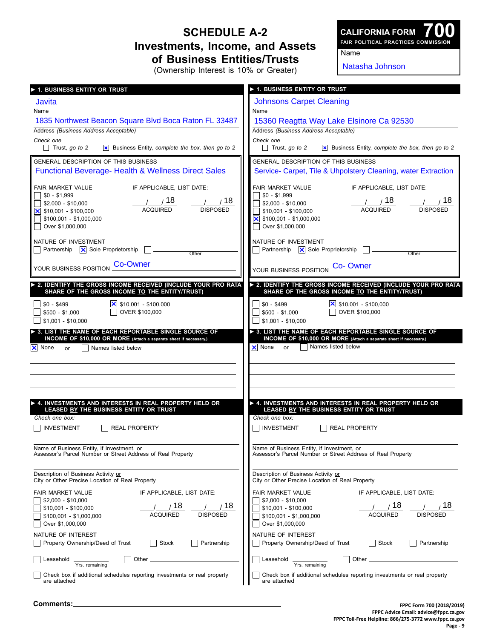## **Schedule A-2 Investments, Income, and Assets of Business Entities/Trusts**

**700 Fair Political Practices Commission CALIFORNIA FORM**

Name

(Ownership Interest is 10% or Greater)

Natasha Johnson

| > 1. BUSINESS ENTITY OR TRUST                                            | 1. BUSINESS ENTITY OR TRUST                                              |
|--------------------------------------------------------------------------|--------------------------------------------------------------------------|
| Javita                                                                   | <b>Johnsons Carpet Cleaning</b>                                          |
| Name                                                                     | <b>Name</b>                                                              |
| 1835 Northwest Beacon Square Blvd Boca Raton FL 33487                    | 15360 Reagtta Way Lake Elsinore Ca 92530                                 |
| Address (Business Address Acceptable)                                    | Address (Business Address Acceptable)                                    |
| Check one                                                                | Check one                                                                |
| $\Box$ Trust, go to 2                                                    | $\Box$ Trust, go to 2                                                    |
| <b>x</b> Business Entity, complete the box, then go to 2                 | <b>x</b> Business Entity, complete the box, then go to 2                 |
| GENERAL DESCRIPTION OF THIS BUSINESS                                     | GENERAL DESCRIPTION OF THIS BUSINESS                                     |
| <b>Functional Beverage- Health &amp; Wellness Direct Sales</b>           | Service- Carpet, Tile & Uhpolstery Cleaning, water Extraction            |
| IF APPLICABLE, LIST DATE:                                                | IF APPLICABLE, LIST DATE:                                                |
| <b>FAIR MARKET VALUE</b>                                                 | <b>FAIR MARKET VALUE</b>                                                 |
| $$0 - $1,999$                                                            | $$0 - $1,999$                                                            |
| 1/18                                                                     | 1 / 18                                                                   |
| $\frac{1}{2}$ 18                                                         | __/______ / 18                                                           |
| \$2,000 - \$10,000                                                       | $$2,000 - $10,000$                                                       |
| <b>ACQUIRED</b>                                                          | <b>ACQUIRED</b>                                                          |
| <b>DISPOSED</b>                                                          | <b>DISPOSED</b>                                                          |
| $\overline{\mathsf{x}}$ \$10,001 - \$100,000                             | \$10,001 - \$100,000                                                     |
| \$100,001 - \$1,000,000                                                  | $\overline{\mathsf{x}}$ \$100,001 - \$1,000,000                          |
| Over \$1,000,000                                                         | Over \$1,000,000                                                         |
| NATURE OF INVESTMENT                                                     | NATURE OF INVESTMENT                                                     |
| $\Box$ Partnership $\Box$ Sole Proprietorship                            | Partnership   X Sole Proprietorship                                      |
| Other                                                                    | Other                                                                    |
| <b>Co-Owner</b>                                                          | <b>Co-Owner</b>                                                          |
| YOUR BUSINESS POSITION                                                   | YOUR BUSINESS POSITION                                                   |
| > 2. IDENTIFY THE GROSS INCOME RECEIVED (INCLUDE YOUR PRO RATA           | ▶ 2. IDENTIFY THE GROSS INCOME RECEIVED (INCLUDE YOUR PRO RATA           |
| SHARE OF THE GROSS INCOME TO THE ENTITY/TRUST)                           | SHARE OF THE GROSS INCOME TO THE ENTITY/TRUST)                           |
|                                                                          | $$0 - $499$                                                              |
| $$0 - $499$                                                              |                                                                          |
| OVER \$100,000                                                           | OVER \$100,000                                                           |
| $$500 - $1,000$                                                          | $$500 - $1,000$                                                          |
| $$1,001 - $10,000$                                                       | $$1,001 - $10,000$                                                       |
| > 3. LIST THE NAME OF EACH REPORTABLE SINGLE SOURCE OF                   | > 3. LIST THE NAME OF EACH REPORTABLE SINGLE SOURCE OF                   |
| INCOME OF \$10,000 OR MORE (Attach a separate sheet if necessary.)       | INCOME OF \$10,000 OR MORE (Attach a separate sheet if necessary.)       |
| $ \mathsf{X} $ None                                                      | $\overline{\mathsf{x}}$ None                                             |
| Names listed below                                                       | Names listed below                                                       |
| or                                                                       | or                                                                       |
| 4. INVESTMENTS AND INTERESTS IN REAL PROPERTY HELD OR                    | A. INVESTMENTS AND INTERESTS IN REAL PROPERTY HELD OR                    |
| LEASED BY THE BUSINESS ENTITY OR TRUST                                   | LEASED BY THE BUSINESS ENTITY OR TRUST                                   |
| Check one box:                                                           | Check one box:                                                           |
| <b>INVESTMENT</b>                                                        | INVESTMENT                                                               |
| <b>REAL PROPERTY</b>                                                     | <b>REAL PROPERTY</b>                                                     |
| Name of Business Entity, if Investment, or                               | Name of Business Entity, if Investment, or                               |
| Assessor's Parcel Number or Street Address of Real Property              | Assessor's Parcel Number or Street Address of Real Property              |
| Description of Business Activity or                                      | Description of Business Activity or                                      |
| City or Other Precise Location of Real Property                          | City or Other Precise Location of Real Property                          |
| FAIR MARKET VALUE                                                        | FAIR MARKET VALUE                                                        |
| IF APPLICABLE, LIST DATE:                                                | IF APPLICABLE, LIST DATE:                                                |
| $$2,000 - $10,000$                                                       | $$2,000 - $10,000$                                                       |
| 18                                                                       | 18                                                                       |
| 18                                                                       | 18                                                                       |
| \$10,001 - \$100,000                                                     | $$10,001 - $100,000$                                                     |
| <b>ACQUIRED</b>                                                          | <b>ACQUIRED</b>                                                          |
| <b>DISPOSED</b>                                                          | <b>DISPOSED</b>                                                          |
| $$100,001 - $1,000,000$                                                  | $$100,001 - $1,000,000$                                                  |
| Over \$1,000,000                                                         | Over \$1,000,000                                                         |
| NATURE OF INTEREST                                                       | NATURE OF INTEREST                                                       |
| Stock                                                                    | Property Ownership/Deed of Trust                                         |
| Partnership                                                              | Stock                                                                    |
| Property Ownership/Deed of Trust                                         | Partnership                                                              |
| Other $\overline{\phantom{0}}$                                           | Leasehold                                                                |
| Leasehold                                                                | Other $\overline{\phantom{0}}$                                           |
| Yrs. remaining                                                           | Yrs. remaining                                                           |
| Check box if additional schedules reporting investments or real property | Check box if additional schedules reporting investments or real property |
| are attached                                                             | are attached                                                             |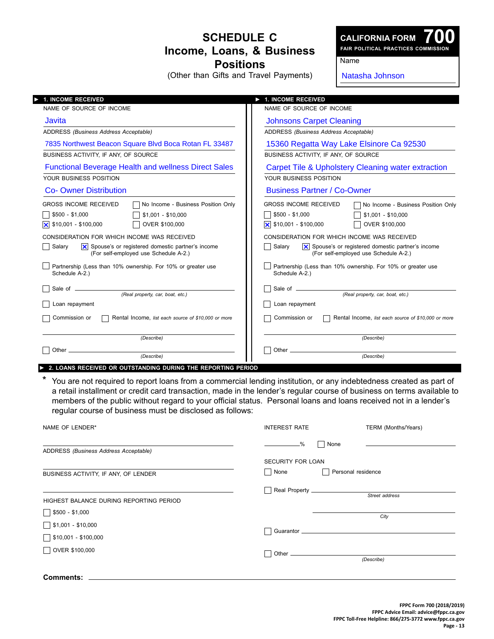## **Schedule C Income, Loans, & Business Positions**

(Other than Gifts and Travel Payments)

**700 Fair Political Practices Commission**

Name

Natasha Johnson

| <b>1. INCOME RECEIVED</b>                                                                                                                                                                                  | <b>1. INCOME RECEIVED</b>                                                                                                                                                                                                    |  |
|------------------------------------------------------------------------------------------------------------------------------------------------------------------------------------------------------------|------------------------------------------------------------------------------------------------------------------------------------------------------------------------------------------------------------------------------|--|
| NAME OF SOURCE OF INCOME                                                                                                                                                                                   | NAME OF SOURCE OF INCOME                                                                                                                                                                                                     |  |
| Javita                                                                                                                                                                                                     | <b>Johnsons Carpet Cleaning</b>                                                                                                                                                                                              |  |
| ADDRESS (Business Address Acceptable)                                                                                                                                                                      | ADDRESS (Business Address Acceptable)                                                                                                                                                                                        |  |
| 7835 Northwest Beacon Square Blvd Boca Rotan FL 33487                                                                                                                                                      | 15360 Regatta Way Lake Elsinore Ca 92530                                                                                                                                                                                     |  |
| BUSINESS ACTIVITY, IF ANY, OF SOURCE                                                                                                                                                                       | BUSINESS ACTIVITY, IF ANY, OF SOURCE                                                                                                                                                                                         |  |
| <b>Functional Beverage Health and wellness Direct Sales</b>                                                                                                                                                | Carpet Tile & Upholstery Cleaning water extraction                                                                                                                                                                           |  |
| YOUR BUSINESS POSITION                                                                                                                                                                                     | YOUR BUSINESS POSITION                                                                                                                                                                                                       |  |
| <b>Co- Owner Distribution</b>                                                                                                                                                                              | <b>Business Partner / Co-Owner</b>                                                                                                                                                                                           |  |
| <b>GROSS INCOME RECEIVED</b><br>No Income - Business Position Only<br>$$500 - $1,000$<br>$$1,001 - $10,000$<br>\$10,001 - \$100,000<br>OVER \$100,000<br>Ιx<br>CONSIDERATION FOR WHICH INCOME WAS RECEIVED | <b>GROSS INCOME RECEIVED</b><br>No Income - Business Position Only<br>$$500 - $1,000$<br>$$1,001 - $10,000$<br>$\overline{\mathsf{X}}$ \$10,001 - \$100,000<br>OVER \$100,000<br>CONSIDERATION FOR WHICH INCOME WAS RECEIVED |  |
| $ \mathsf{x} $ Spouse's or registered domestic partner's income<br>Salarv<br>(For self-employed use Schedule A-2.)                                                                                         | $ \mathsf{X} $ Spouse's or registered domestic partner's income<br>Salary<br>(For self-employed use Schedule A-2.)                                                                                                           |  |
| Partnership (Less than 10% ownership. For 10% or greater use<br>Schedule A-2.)                                                                                                                             | Partnership (Less than 10% ownership. For 10% or greater use<br>Schedule A-2.)                                                                                                                                               |  |
| (Real property, car, boat, etc.)                                                                                                                                                                           | (Real property, car, boat, etc.)                                                                                                                                                                                             |  |
| Loan repayment                                                                                                                                                                                             | Loan repayment                                                                                                                                                                                                               |  |
| Commission or<br>Rental Income, list each source of \$10,000 or more                                                                                                                                       | Commission or<br>Rental Income, list each source of \$10,000 or more                                                                                                                                                         |  |
| (Describe)                                                                                                                                                                                                 | (Describe)                                                                                                                                                                                                                   |  |
| Other_<br>(Describe)                                                                                                                                                                                       | Other $\equiv$<br>(Describe)                                                                                                                                                                                                 |  |

► **2. loans Received or outstanding during the reporting period**

\* You are not required to report loans from a commercial lending institution, or any indebtedness created as part of a retail installment or credit card transaction, made in the lender's regular course of business on terms available to members of the public without regard to your official status. Personal loans and loans received not in a lender's regular course of business must be disclosed as follows:

| NAME OF LENDER*                               | <b>INTEREST RATE</b>                             | TERM (Months/Years) |
|-----------------------------------------------|--------------------------------------------------|---------------------|
| ADDRESS (Business Address Acceptable)         | None<br>$ \frac{\%}{\%}$<br>- 1                  |                     |
| BUSINESS ACTIVITY, IF ANY, OF LENDER          | <b>SECURITY FOR LOAN</b><br>$\mathbf{I}$<br>None | Personal residence  |
| HIGHEST BALANCE DURING REPORTING PERIOD       | $\mathcal{L}$                                    | Street address      |
| $$500 - $1,000$<br>$\sqrt{\$1,001 - $10,000}$ |                                                  | City                |
| $\sqrt{$10,001 - $100,000}$                   |                                                  |                     |
| OVER \$100,000                                |                                                  | (Describe)          |
| Comments:                                     |                                                  |                     |